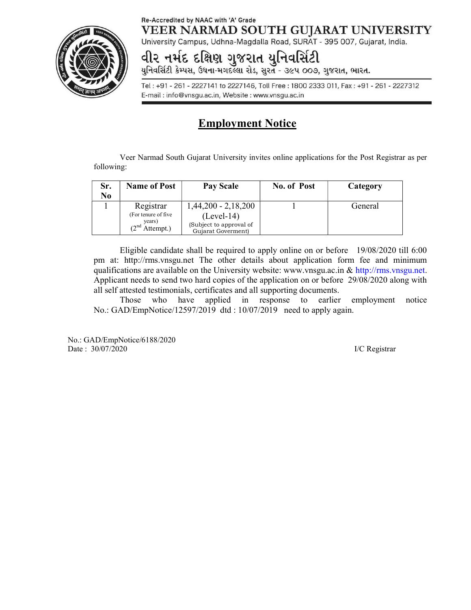## Re-Accredited by NAAC with 'A' Grade VEER NARMAD SOUTH GUJARAT UNIVERSITY



University Campus, Udhna-Magdalla Road, SURAT - 395 007, Gujarat, India.

# **વી૨ નર્મદ દક્ષિણ ગુજરાત યુનિવર્સિટી**<br>યુનિવર્સિટી કેમ્પસ, ઉધના-મગદલ્લા રોડ, સુરત - ૩૯૫ ૦૦૭, ગુજરાત, ભારત.

Tel: +91 - 261 - 2227141 to 2227146, Toll Free: 1800 2333 011, Fax: +91 - 261 - 2227312 E-mail: info@vnsgu.ac.in, Website: www.vnsgu.ac.in

# Employment Notice

Veer Narmad South Gujarat University invites online applications for the Post Registrar as per following:

| Category                                         |
|--------------------------------------------------|
| General                                          |
|                                                  |
|                                                  |
| $1,44,200 - 2,18,200$<br>(Subject to approval of |

Eligible candidate shall be required to apply online on or before 19/08/2020 till 6:00 pm at: http://rms.vnsgu.net The other details about application form fee and minimum qualifications are available on the University website: www.vnsgu.ac.in  $\&$  http://rms.vnsgu.net. Applicant needs to send two hard copies of the application on or before 29/08/2020 along with all self attested testimonials, certificates and all supporting documents.

Those who have applied in response to earlier employment notice No.: GAD/EmpNotice/12597/2019 dtd : 10/07/2019 need to apply again.

No.: GAD/EmpNotice/6188/2020 Date : 30/07/2020 I/C Registrar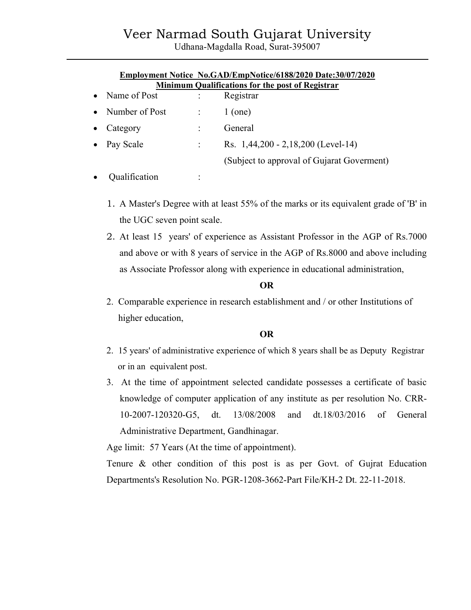# Veer Narmad South Gujarat University

Udhana-Magdalla Road, Surat-395007

|                                                         |                  |                      | Employment Notice No.GAD/EmpNotice/6188/2020 Date:30/07/2020 |
|---------------------------------------------------------|------------------|----------------------|--------------------------------------------------------------|
| <b>Minimum Qualifications for the post of Registrar</b> |                  |                      |                                                              |
|                                                         | • Name of Post   | $\ddot{\phantom{a}}$ | Registrar                                                    |
|                                                         | • Number of Post |                      | $1$ (one)                                                    |
| $\bullet$                                               | Category         |                      | General                                                      |
|                                                         | • Pay Scale      |                      | Rs. 1,44,200 - 2,18,200 (Level-14)                           |
|                                                         |                  |                      | (Subject to approval of Gujarat Goverment)                   |
|                                                         | Qualification    |                      |                                                              |

- 1. A Master's Degree with at least 55% of the marks or its equivalent grade of 'B' in the UGC seven point scale.
- 2. At least 15 years' of experience as Assistant Professor in the AGP of Rs.7000 and above or with 8 years of service in the AGP of Rs.8000 and above including as Associate Professor along with experience in educational administration,

#### OR

2. Comparable experience in research establishment and / or other Institutions of higher education,

#### OR

- 2. 15 years' of administrative experience of which 8 years shall be as Deputy Registrar or in an equivalent post.
- 3. At the time of appointment selected candidate possesses a certificate of basic knowledge of computer application of any institute as per resolution No. CRR-10-2007-120320-G5, dt. 13/08/2008 and dt.18/03/2016 of General Administrative Department, Gandhinagar.

Age limit: 57 Years (At the time of appointment).

Tenure & other condition of this post is as per Govt. of Gujrat Education Departments's Resolution No. PGR-1208-3662-Part File/KH-2 Dt. 22-11-2018.